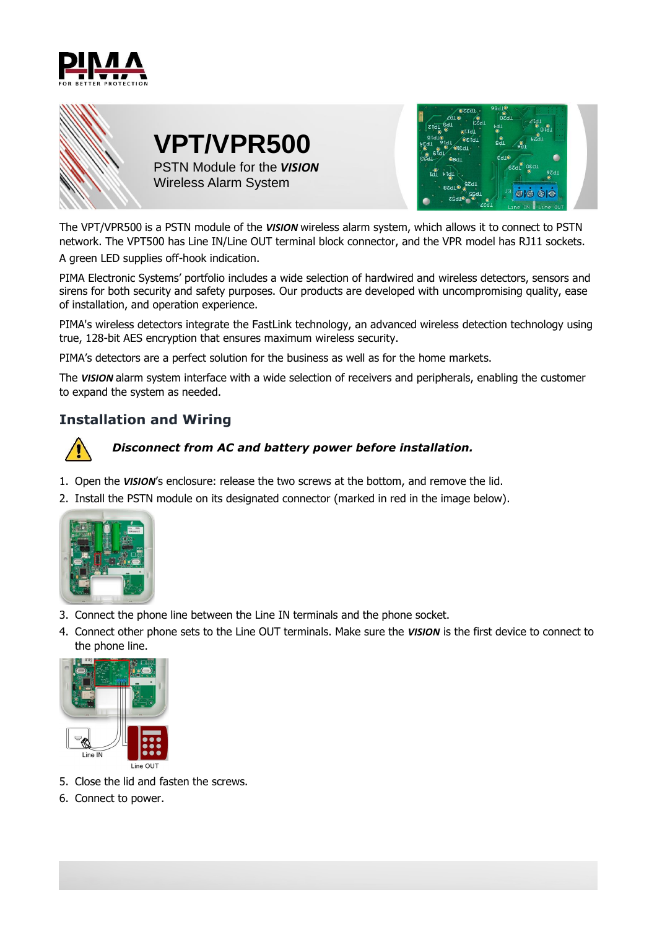



The VPT/VPR500 is a PSTN module of the *VISION* wireless alarm system, which allows it to connect to PSTN network. The VPT500 has Line IN/Line OUT terminal block connector, and the VPR model has RJ11 sockets.

A green LED supplies off-hook indication.

PIMA Electronic Systems' portfolio includes a wide selection of hardwired and wireless detectors, sensors and sirens for both security and safety purposes. Our products are developed with uncompromising quality, ease of installation, and operation experience.

PIMA's wireless detectors integrate the FastLink technology, an advanced wireless detection technology using true, 128-bit AES encryption that ensures maximum wireless security.

PIMA's detectors are a perfect solution for the business as well as for the home markets.

The *VISION* alarm system interface with a wide selection of receivers and peripherals, enabling the customer to expand the system as needed.

## **Installation and Wiring**



#### *Disconnect from AC and battery power before installation.*

- 1. Open the *VISION*'s enclosure: release the two screws at the bottom, and remove the lid.
- 2. Install the PSTN module on its designated connector (marked in red in the image below).



- 3. Connect the phone line between the Line IN terminals and the phone socket.
- 4. Connect other phone sets to the Line OUT terminals. Make sure the *VISION* is the first device to connect to the phone line.



- 5. Close the lid and fasten the screws.
- 6. Connect to power.